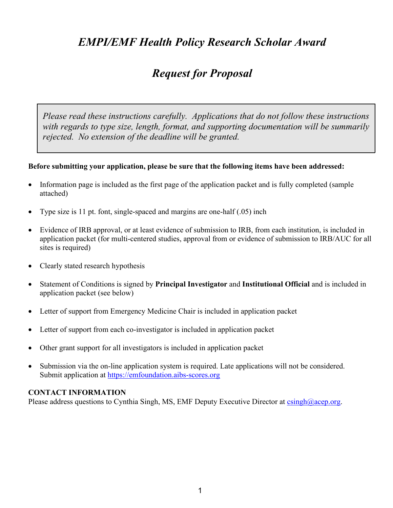# *EMPI/EMF Health Policy Research Scholar Award*

# *Request for Proposal*

*Please read these instructions carefully. Applications that do not follow these instructions with regards to type size, length, format, and supporting documentation will be summarily rejected. No extension of the deadline will be granted.*

# **Before submitting your application, please be sure that the following items have been addressed:**

- Information page is included as the first page of the application packet and is fully completed (sample attached)
- Type size is 11 pt. font, single-spaced and margins are one-half (.05) inch
- Evidence of IRB approval, or at least evidence of submission to IRB, from each institution, is included in application packet (for multi-centered studies, approval from or evidence of submission to IRB/AUC for all sites is required)
- Clearly stated research hypothesis
- Statement of Conditions is signed by **Principal Investigator** and **Institutional Official** and is included in application packet (see below)
- Letter of support from Emergency Medicine Chair is included in application packet
- Letter of support from each co-investigator is included in application packet
- Other grant support for all investigators is included in application packet
- Submission via the on-line application system is required. Late applications will not be considered. Submit application at [https://emfoundation.aibs-scores.org](https://emfoundation.aibs-scores.org/)

#### **CONTACT INFORMATION**

Please address questions to Cynthia Singh, MS, EMF Deputy Executive Director at  $\frac{\text{csingh}(a)}{a\text{cep.org}}$ .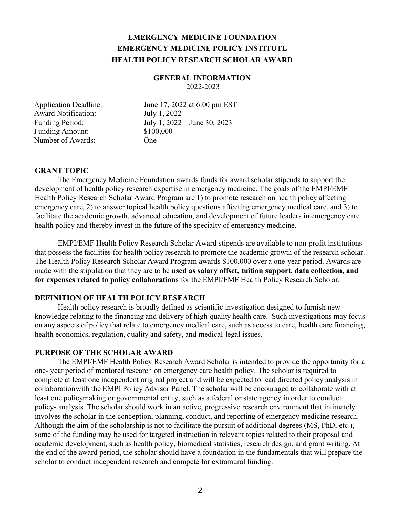# **EMERGENCY MEDICINE FOUNDATION EMERGENCY MEDICINE POLICY INSTITUTE HEALTH POLICY RESEARCH SCHOLAR AWARD**

#### **GENERAL INFORMATION** 2022-2023

 Award Notification: July 1, 2022 Funding Amount: \$100,000 Number of Awards: One

Application Deadline: June 17, 2022 at 6:00 pm EST Funding Period: July 1, 2022 – June 30, 2023

#### **GRANT TOPIC**

The Emergency Medicine Foundation awards funds for award scholar stipends to support the development of health policy research expertise in emergency medicine. The goals of the EMPI/EMF Health Policy Research Scholar Award Program are 1) to promote research on health policy affecting emergency care, 2) to answer topical health policy questions affecting emergency medical care, and 3) to facilitate the academic growth, advanced education, and development of future leaders in emergency care health policy and thereby invest in the future of the specialty of emergency medicine.

EMPI/EMF Health Policy Research Scholar Award stipends are available to non-profit institutions that possess the facilities for health policy research to promote the academic growth of the research scholar. The Health Policy Research Scholar Award Program awards \$100,000 over a one-year period. Awards are made with the stipulation that they are to be **used as salary offset, tuition support, data collection, and for expenses related to policy collaborations** for the EMPI/EMF Health Policy Research Scholar.

# **DEFINITION OF HEALTH POLICY RESEARCH**

Health policy research is broadly defined as scientific investigation designed to furnish new knowledge relating to the financing and delivery of high-quality health care. Such investigations may focus on any aspects of policy that relate to emergency medical care, such as access to care, health care financing, health economics, regulation, quality and safety, and medical-legal issues.

#### **PURPOSE OF THE SCHOLAR AWARD**

The EMPI/EMF Health Policy Research Award Scholar is intended to provide the opportunity for a one- year period of mentored research on emergency care health policy. The scholar is required to complete at least one independent original project and will be expected to lead directed policy analysis in collaboration with the EMPI Policy Advisor Panel. The scholar will be encouraged to collaborate with at least one policymaking or governmental entity, such as a federal or state agency in order to conduct policy- analysis. The scholar should work in an active, progressive research environment that intimately involves the scholar in the conception, planning, conduct, and reporting of emergency medicine research. Although the aim of the scholarship is not to facilitate the pursuit of additional degrees (MS, PhD, etc.), some of the funding may be used for targeted instruction in relevant topics related to their proposal and academic development, such as health policy, biomedical statistics, research design, and grant writing. At the end of the award period, the scholar should have a foundation in the fundamentals that will prepare the scholar to conduct independent research and compete for extramural funding.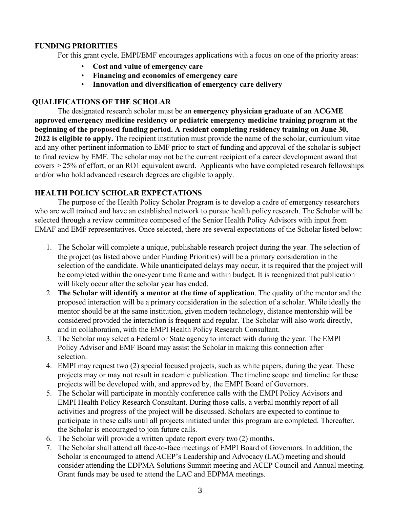## **FUNDING PRIORITIES**

For this grant cycle, EMPI/EMF encourages applications with a focus on one of the priority areas:

- **Cost and value of emergency care**
- **Financing and economics of emergency care**
- **Innovation and diversification of emergency care delivery**

#### **QUALIFICATIONS OF THE SCHOLAR**

The designated research scholar must be an **emergency physician graduate of an ACGME approved emergency medicine residency or pediatric emergency medicine training program at the beginning of the proposed funding period. A resident completing residency training on June 30, 2022 is eligible to apply.** The recipient institution must provide the name of the scholar, curriculum vitae and any other pertinent information to EMF prior to start of funding and approval of the scholar is subject to final review by EMF. The scholar may not be the current recipient of a career development award that covers > 25% of effort, or an RO1 equivalent award. Applicants who have completed research fellowships and/or who hold advanced research degrees are eligible to apply.

# **HEALTH POLICY SCHOLAR EXPECTATIONS**

The purpose of the Health Policy Scholar Program is to develop a cadre of emergency researchers who are well trained and have an established network to pursue health policy research. The Scholar will be selected through a review committee composed of the Senior Health Policy Advisors with input from EMAF and EMF representatives. Once selected, there are several expectations of the Scholar listed below:

- 1. The Scholar will complete a unique, publishable research project during the year. The selection of the project (as listed above under Funding Priorities) will be a primary consideration in the selection of the candidate. While unanticipated delays may occur, it is required that the project will be completed within the one-year time frame and within budget. It is recognized that publication will likely occur after the scholar year has ended.
- 2. **The Scholar will identify a mentor at the time of application**. The quality of the mentor and the proposed interaction will be a primary consideration in the selection of a scholar. While ideally the mentor should be at the same institution, given modern technology, distance mentorship will be considered provided the interaction is frequent and regular. The Scholar will also work directly, and in collaboration, with the EMPI Health Policy Research Consultant.
- 3. The Scholar may select a Federal or State agency to interact with during the year. The EMPI Policy Advisor and EMF Board may assist the Scholar in making this connection after selection.
- 4. EMPI may request two (2) special focused projects, such as white papers, during the year. These projects may or may not result in academic publication. The timeline scope and timeline for these projects will be developed with, and approved by, the EMPI Board of Governors.
- 5. The Scholar will participate in monthly conference calls with the EMPI Policy Advisors and EMPI Health Policy Research Consultant. During those calls, a verbal monthly report of all activities and progress of the project will be discussed. Scholars are expected to continue to participate in these calls until all projects initiated under this program are completed. Thereafter, the Scholar is encouraged to join future calls.
- 6. The Scholar will provide a written update report every two (2) months.
- 7. The Scholar shall attend all face-to-face meetings of EMPI Board of Governors. In addition, the Scholar is encouraged to attend ACEP's Leadership and Advocacy (LAC) meeting and should consider attending the EDPMA Solutions Summit meeting and ACEP Council and Annual meeting. Grant funds may be used to attend the LAC and EDPMA meetings.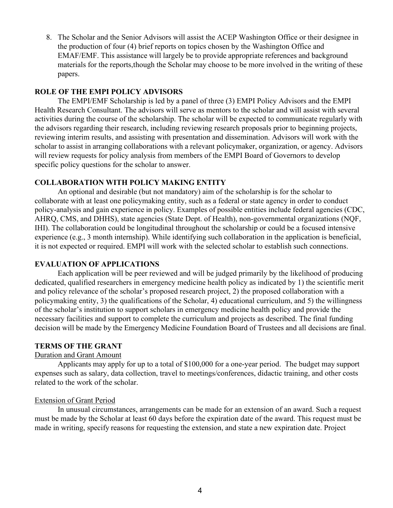8. The Scholar and the Senior Advisors will assist the ACEP Washington Office or their designee in the production of four (4) brief reports on topics chosen by the Washington Office and EMAF/EMF. This assistance will largely be to provide appropriate references and background materials for the reports, though the Scholar may choose to be more involved in the writing of these papers.

#### **ROLE OF THE EMPI POLICY ADVISORS**

The EMPI/EMF Scholarship is led by a panel of three (3) EMPI Policy Advisors and the EMPI Health Research Consultant. The advisors will serve as mentors to the scholar and will assist with several activities during the course of the scholarship. The scholar will be expected to communicate regularly with the advisors regarding their research, including reviewing research proposals prior to beginning projects, reviewing interim results, and assisting with presentation and dissemination. Advisors will work with the scholar to assist in arranging collaborations with a relevant policymaker, organization, or agency. Advisors will review requests for policy analysis from members of the EMPI Board of Governors to develop specific policy questions for the scholar to answer.

#### **COLLABORATION WITH POLICY MAKING ENTITY**

An optional and desirable (but not mandatory) aim of the scholarship is for the scholar to collaborate with at least one policymaking entity, such as a federal or state agency in order to conduct policy-analysis and gain experience in policy. Examples of possible entities include federal agencies (CDC, AHRQ, CMS, and DHHS), state agencies (State Dept. of Health), non-governmental organizations (NQF, IHI). The collaboration could be longitudinal throughout the scholarship or could be a focused intensive experience (e.g., 3 month internship). While identifying such collaboration in the application is beneficial, it is not expected or required. EMPI will work with the selected scholar to establish such connections.

# **EVALUATION OF APPLICATIONS**

Each application will be peer reviewed and will be judged primarily by the likelihood of producing dedicated, qualified researchers in emergency medicine health policy as indicated by 1) the scientific merit and policy relevance of the scholar's proposed research project, 2) the proposed collaboration with a policymaking entity, 3) the qualifications of the Scholar, 4) educational curriculum, and 5) the willingness of the scholar's institution to support scholars in emergency medicine health policy and provide the necessary facilities and support to complete the curriculum and projects as described. The final funding decision will be made by the Emergency Medicine Foundation Board of Trustees and all decisions are final.

# **TERMS OF THE GRANT**

# Duration and Grant Amount

Applicants may apply for up to a total of \$100,000 for a one-year period. The budget may support expenses such as salary, data collection, travel to meetings/conferences, didactic training, and other costs related to the work of the scholar.

# Extension of Grant Period

In unusual circumstances, arrangements can be made for an extension of an award. Such a request must be made by the Scholar at least 60 days before the expiration date of the award. This request must be made in writing, specify reasons for requesting the extension, and state a new expiration date. Project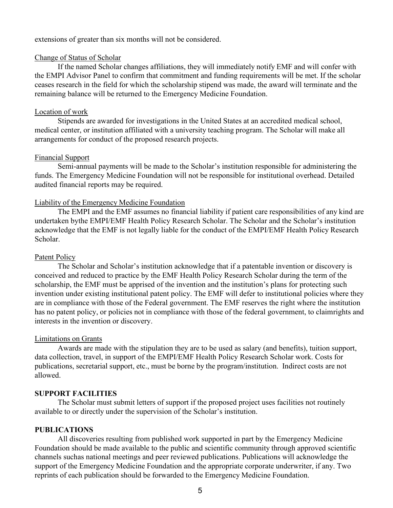#### extensions of greater than six months will not be considered.

#### Change of Status of Scholar

If the named Scholar changes affiliations, they will immediately notify EMF and will confer with the EMPI Advisor Panel to confirm that commitment and funding requirements will be met. If the scholar ceases research in the field for which the scholarship stipend was made, the award will terminate and the remaining balance will be returned to the Emergency Medicine Foundation.

#### Location of work

Stipends are awarded for investigations in the United States at an accredited medical school, medical center, or institution affiliated with a university teaching program. The Scholar will make all arrangements for conduct of the proposed research projects.

#### Financial Support

Semi-annual payments will be made to the Scholar's institution responsible for administering the funds. The Emergency Medicine Foundation will not be responsible for institutional overhead. Detailed audited financial reports may be required.

#### Liability of the Emergency Medicine Foundation

The EMPI and the EMF assumes no financial liability if patient care responsibilities of any kind are undertaken by the EMPI/EMF Health Policy Research Scholar. The Scholar and the Scholar's institution acknowledge that the EMF is not legally liable for the conduct of the EMPI/EMF Health Policy Research Scholar.

#### Patent Policy

The Scholar and Scholar's institution acknowledge that if a patentable invention or discovery is conceived and reduced to practice by the EMF Health Policy Research Scholar during the term of the scholarship, the EMF must be apprised of the invention and the institution's plans for protecting such invention under existing institutional patent policy. The EMF will defer to institutional policies where they are in compliance with those of the Federal government. The EMF reserves the right where the institution has no patent policy, or policies not in compliance with those of the federal government, to claimrights and interests in the invention or discovery.

#### Limitations on Grants

Awards are made with the stipulation they are to be used as salary (and benefits), tuition support, data collection, travel, in support of the EMPI/EMF Health Policy Research Scholar work. Costs for publications, secretarial support, etc., must be borne by the program/institution. Indirect costs are not allowed.

#### **SUPPORT FACILITIES**

The Scholar must submit letters of support if the proposed project uses facilities not routinely available to or directly under the supervision of the Scholar's institution.

#### **PUBLICATIONS**

All discoveries resulting from published work supported in part by the Emergency Medicine Foundation should be made available to the public and scientific community through approved scientific channels such as national meetings and peer reviewed publications. Publications will acknowledge the support of the Emergency Medicine Foundation and the appropriate corporate underwriter, if any. Two reprints of each publication should be forwarded to the Emergency Medicine Foundation.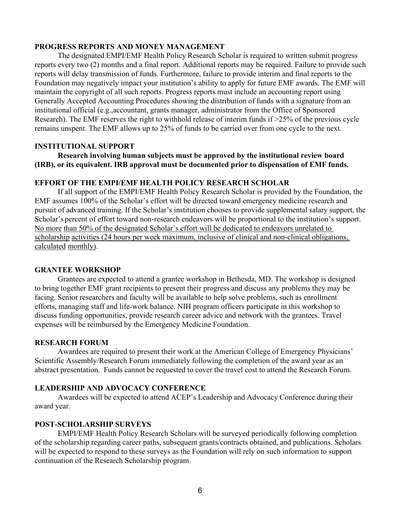#### **PROGRESS REPORTS AND MONEY MANAGEMENT**

The designated EMPI/EMF Health Policy Research Scholar is required to written submit progress reports every two (2) months and a final report. Additional reports may be required. Failure to provide such reports will delay transmission of funds. Furthermore, failure to provide interim and final reports to the Foundation may negatively impact your institution's ability to apply for future EMF awards. The EMF will maintain the copyright of all such reports. Progress reports must include an accounting report using Generally Accepted Accounting Procedures showing the distribution of funds with a signature from an institutional official (e.g., accountant, grants manager, administrator from the Office of Sponsored Research). The EMF reserves the right to withhold release of interim funds if >25% of the previous cycle remains unspent. The EMF allows up to 25% of funds to be carried over from one cycle to the next.

#### **INSTITUTIONAL SUPPORT**

**Research involving human subjects must be approved by the institutional review board (IRB), or its equivalent. IRB approval must be documented prior to dispensation of EMF funds.**

#### **EFFORT OF THE EMPI/EMF HEALTH POLICY RESEARCH SCHOLAR**

If all support of the EMPI/EMF Health Policy Research Scholar is provided by the Foundation, the EMF assumes 100% of the Scholar's effort will be directed toward emergency medicine research and pursuit of advanced training. If the Scholar's institution chooses to provide supplemental salary support, the Scholar's percent of effort toward non-research endeavors will be proportional to the institution's support. No more than 50% of the designated Scholar's effort will be dedicated to endeavors unrelated to scholarship activities (24 hours per week maximum, inclusive of clinical and non-clinical obligations, calculated monthly).

#### **GRANTEE WORKSHOP**

Grantees are expected to attend a grantee workshop in Bethesda, MD. The workshop is designed to bring together EMF grant recipients to present their progress and discuss any problems they may be facing. Senior researchers and faculty will be available to help solve problems, such as enrollment efforts, managing staff and life-work balance. NIH program officers participate in this workshop to discuss funding opportunities, provide research career advice and network with the grantees. Travel expenses will be reimbursed by the Emergency Medicine Foundation.

#### **RESEARCH FORUM**

Awardees are required to present their work at the American College of Emergency Physicians' Scientific Assembly/Research Forum immediately following the completion of the award year as an abstract presentation. Funds cannot be requested to cover the travel cost to attend the Research Forum.

#### **LEADERSHIP AND ADVOCACY CONFERENCE**

Awardees will be expected to attend ACEP's Leadership and Advocacy Conference during their award year.

#### **POST-SCHOLARSHIP SURVEYS**

EMPI/EMF Health Policy Research Scholars will be surveyed periodically following completion of the scholarship regarding career paths, subsequent grants/contracts obtained, and publications. Scholars will be expected to respond to these surveys as the Foundation will rely on such information to support continuation of the Research Scholarship program.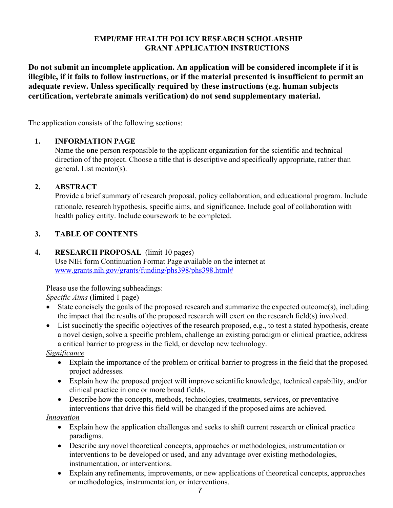# **EMPI/EMF HEALTH POLICY RESEARCH SCHOLARSHIP GRANT APPLICATION INSTRUCTIONS**

**Do not submit an incomplete application. An application will be considered incomplete if it is illegible, if it fails to follow instructions, or if the material presented is insufficient to permit an adequate review. Unless specifically required by these instructions (e.g. human subjects certification, vertebrate animals verification) do not send supplementary material.** 

The application consists of the following sections:

# **1. INFORMATION PAGE**

Name the **one** person responsible to the applicant organization for the scientific and technical direction of the project. Choose a title that is descriptive and specifically appropriate, rather than general. List mentor(s).

# **2. ABSTRACT**

Provide a brief summary of research proposal, policy collaboration, and educational program. Include rationale, research hypothesis, specific aims, and significance. Include goal of collaboration with health policy entity. Include coursework to be completed.

# **3. TABLE OF CONTENTS**

#### **4. RESEARCH PROPOSAL** (limit 10 pages)

Use NIH form Continuation Format Page available on the internet at [www.grants.nih.gov/grants/funding/phs398/phs398.html#](http://www.grants.nih.gov/grants/funding/phs398/phs398.html)

Please use the following subheadings:

*Specific Aims* (limited 1 page)

- State concisely the goals of the proposed research and summarize the expected outcome(s), including the impact that the results of the proposed research will exert on the research field(s) involved.
- List succinctly the specific objectives of the research proposed, e.g., to test a stated hypothesis, create a novel design, solve a specific problem, challenge an existing paradigm or clinical practice, address a critical barrier to progress in the field, or develop new technology.

*Significance* 

- Explain the importance of the problem or critical barrier to progress in the field that the proposed project addresses.
- Explain how the proposed project will improve scientific knowledge, technical capability, and/or clinical practice in one or more broad fields.
- Describe how the concepts, methods, technologies, treatments, services, or preventative interventions that drive this field will be changed if the proposed aims are achieved.

# *Innovation*

- Explain how the application challenges and seeks to shift current research or clinical practice paradigms.
- Describe any novel theoretical concepts, approaches or methodologies, instrumentation or interventions to be developed or used, and any advantage over existing methodologies, instrumentation, or interventions.
- Explain any refinements, improvements, or new applications of theoretical concepts, approaches or methodologies, instrumentation, or interventions.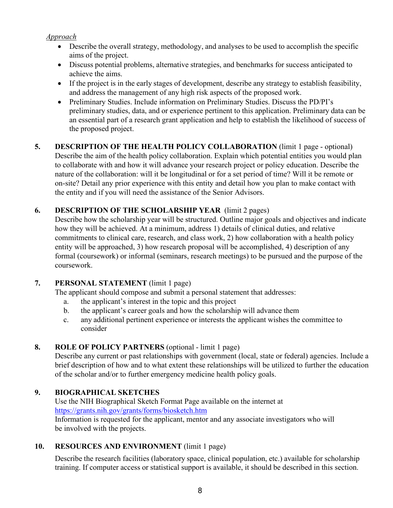# *Approach*

- Describe the overall strategy, methodology, and analyses to be used to accomplish the specific aims of the project.
- Discuss potential problems, alternative strategies, and benchmarks for success anticipated to achieve the aims.
- If the project is in the early stages of development, describe any strategy to establish feasibility, and address the management of any high risk aspects of the proposed work.
- Preliminary Studies. Include information on Preliminary Studies. Discuss the PD/PI's preliminary studies, data, and or experience pertinent to this application. Preliminary data can be an essential part of a research grant application and help to establish the likelihood of success of the proposed project.

# **5. DESCRIPTION OF THE HEALTH POLICY COLLABORATION** (limit 1 page - optional) Describe the aim of the health policy collaboration. Explain which potential entities you would plan to collaborate with and how it will advance your research project or policy education. Describe the nature of the collaboration: will it be longitudinal or for a set period of time? Will it be remote or on- site? Detail any prior experience with this entity and detail how you plan to make contact with the entity and if you will need the assistance of the Senior Advisors.

# **6. DESCRIPTION OF THE SCHOLARSHIP YEAR** (limit 2 pages)

Describe how the scholarship year will be structured. Outline major goals and objectives and indicate how they will be achieved. At a minimum, address 1) details of clinical duties, and relative commitments to clinical care, research, and class work, 2) how collaboration with a health policy entity will be approached, 3) how research proposal will be accomplished, 4) description of any formal (coursework) or informal (seminars, research meetings) to be pursued and the purpose of the coursework.

# **7. PERSONAL STATEMENT** (limit 1 page)

The applicant should compose and submit a personal statement that addresses:

- a. the applicant's interest in the topic and this project
- b. the applicant's career goals and how the scholarship will advance them
- c. any additional pertinent experience or interests the applicant wishes the committee to consider

# **8. ROLE OF POLICY PARTNERS** (optional - limit 1 page)

Describe any current or past relationships with government (local, state or federal) agencies. Include a brief description of how and to what extent these relationships will be utilized to further the education of the scholar and/or to further emergency medicine health policy goals.

# **9. BIOGRAPHICAL SKETCHES**

Use the NIH Biographical Sketch Format Page available on the internet at <https://grants.nih.gov/grants/forms/biosketch.htm> Information is requested for the applicant, mentor and any associate investigators who will be involved with the projects.

# **10. RESOURCES AND ENVIRONMENT** (limit 1 page)

Describe the research facilities (laboratory space, clinical population, etc.) available for scholarship training. If computer access or statistical support is available, it should be described in this section.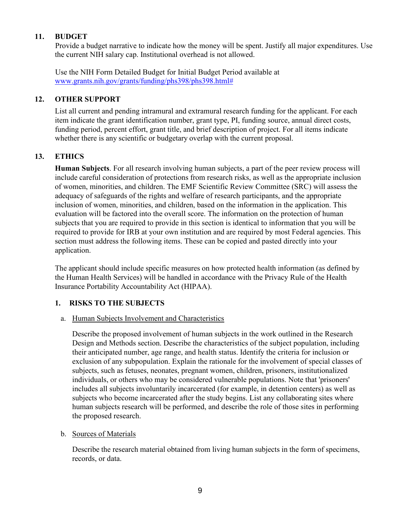# **11. BUDGET**

Provide a budget narrative to indicate how the money will be spent. Justify all major expenditures. Use the current NIH salary cap. Institutional overhead is not allowed.

Use the NIH Form Detailed Budget for Initial Budget Period available at [www.grants.nih.gov/grants/funding/phs398/phs398.html#](http://www.grants.nih.gov/grants/funding/phs398/phs398.html)

# **12. OTHER SUPPORT**

List all current and pending intramural and extramural research funding for the applicant. For each item indicate the grant identification number, grant type, PI, funding source, annual direct costs, funding period, percent effort, grant title, and brief description of project. For all items indicate whether there is any scientific or budgetary overlap with the current proposal.

# **13. ETHICS**

**Human Subjects**. For all research involving human subjects, a part of the peer review process will include careful consideration of protections from research risks, as well as the appropriate inclusion of women, minorities, and children. The EMF Scientific Review Committee (SRC) will assess the adequacy of safeguards of the rights and welfare of research participants, and the appropriate inclusion of women, minorities, and children, based on the information in the application. This evaluation will be factored into the overall score. The information on the protection of human subjects that you are required to provide in this section is identical to information that you will be required to provide for IRB at your own institution and are required by most Federal agencies. This section must address the following items. These can be copied and pasted directly into your application.

The applicant should include specific measures on how protected health information (as defined by the Human Health Services) will be handled in accordance with the Privacy Rule of the Health Insurance Portability Accountability Act (HIPAA).

# **1. RISKS TO THE SUBJECTS**

#### a. Human Subjects Involvement and Characteristics

Describe the proposed involvement of human subjects in the work outlined in the Research Design and Methods section. Describe the characteristics of the subject population, including their anticipated number, age range, and health status. Identify the criteria for inclusion or exclusion of any subpopulation. Explain the rationale for the involvement of special classes of subjects, such as fetuses, neonates, pregnant women, children, prisoners, institutionalized individuals, or others who may be considered vulnerable populations. Note that 'prisoners' includes all subjects involuntarily incarcerated (for example, in detention centers) as well as subjects who become incarcerated after the study begins. List any collaborating sites where human subjects research will be performed, and describe the role of those sites in performing the proposed research.

#### b. Sources of Materials

Describe the research material obtained from living human subjects in the form of specimens, records, or data.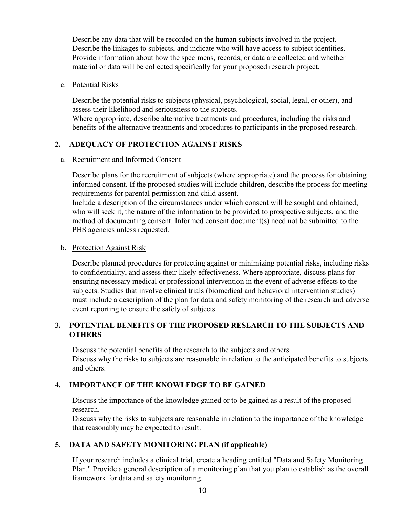Describe any data that will be recorded on the human subjects involved in the project. Describe the linkages to subjects, and indicate who will have access to subject identities. Provide information about how the specimens, records, or data are collected and whether material or data will be collected specifically for your proposed research project.

#### c. Potential Risks

Describe the potential risks to subjects (physical, psychological, social, legal, or other), and assess their likelihood and seriousness to the subjects. Where appropriate, describe alternative treatments and procedures, including the risks and benefits of the alternative treatments and procedures to participants in the proposed research.

# **2. ADEQUACY OF PROTECTION AGAINST RISKS**

#### a. Recruitment and Informed Consent

Describe plans for the recruitment of subjects (where appropriate) and the process for obtaining informed consent. If the proposed studies will include children, describe the process for meeting requirements for parental permission and child assent.

Include a description of the circumstances under which consent will be sought and obtained, who will seek it, the nature of the information to be provided to prospective subjects, and the method of documenting consent. Informed consent document(s) need not be submitted to the PHS agencies unless requested.

#### b. Protection Against Risk

Describe planned procedures for protecting against or minimizing potential risks, including risks to confidentiality, and assess their likely effectiveness. Where appropriate, discuss plans for ensuring necessary medical or professional intervention in the event of adverse effects to the subjects. Studies that involve clinical trials (biomedical and behavioral intervention studies) must include a description of the plan for data and safety monitoring of the research and adverse event reporting to ensure the safety of subjects.

# **3. POTENTIAL BENEFITS OF THE PROPOSED RESEARCH TO THE SUBJECTS AND OTHERS**

Discuss the potential benefits of the research to the subjects and others. Discuss why the risks to subjects are reasonable in relation to the anticipated benefits to subjects and others.

# **4. IMPORTANCE OF THE KNOWLEDGE TO BE GAINED**

Discuss the importance of the knowledge gained or to be gained as a result of the proposed research.

Discuss why the risks to subjects are reasonable in relation to the importance of the knowledge that reasonably may be expected to result.

# **5. DATA AND SAFETY MONITORING PLAN (if applicable)**

If your research includes a clinical trial, create a heading entitled "Data and Safety Monitoring Plan." Provide a general description of a monitoring plan that you plan to establish as the overall framework for data and safety monitoring.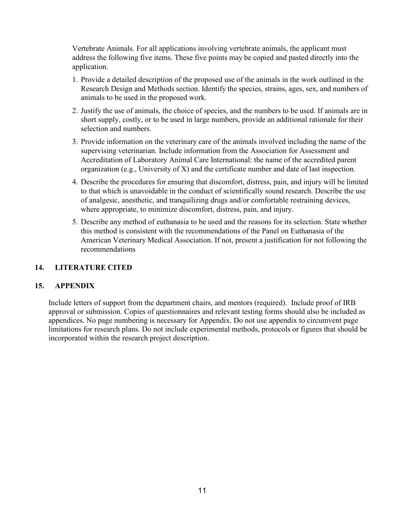Vertebrate Animals. For all applications involving vertebrate animals, the applicant must address the following five items. These five points may be copied and pasted directly into the application.

- 1. Provide a detailed description of the proposed use of the animals in the work outlined in the Research Design and Methods section. Identify the species, strains, ages, sex, and numbers of animals to be used in the proposed work.
- 2. Justify the use of animals, the choice of species, and the numbers to be used. If animals are in short supply, costly, or to be used in large numbers, provide an additional rationale for their selection and numbers.
- 3. Provide information on the veterinary care of the animals involved including the name of the supervising veterinarian. Include information from the Association for Assessment and Accreditation of Laboratory Animal Care International: the name of the accredited parent organization (e.g., University of X) and the certificate number and date of last inspection.
- 4. Describe the procedures for ensuring that discomfort, distress, pain, and injury will be limited to that which is unavoidable in the conduct of scientifically sound research. Describe the use of analgesic, anesthetic, and tranquilizing drugs and/or comfortable restraining devices, where appropriate, to minimize discomfort, distress, pain, and injury.
- 5. Describe any method of euthanasia to be used and the reasons for its selection. State whether this method is consistent with the recommendations of the Panel on Euthanasia of the American Veterinary Medical Association. If not, present a justification for not following the recommendations

# **14. LITERATURE CITED**

# **15. APPENDIX**

Include letters of support from the department chairs, and mentors (required). Include proof of IRB approval or submission. Copies of questionnaires and relevant testing forms should also be included as appendices. No page numbering is necessary for Appendix. Do not use appendix to circumvent page limitations for research plans. Do not include experimental methods, protocols or figures that should be incorporated within the research project description.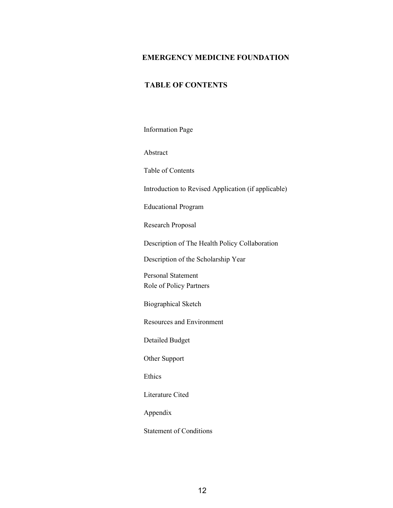#### **EMERGENCY MEDICINE FOUNDATION**

# **TABLE OF CONTENTS**

Information Page

Abstract

Table of Contents

Introduction to Revised Application (if applicable)

Educational Program

Research Proposal

Description of The Health Policy Collaboration

Description of the Scholarship Year

Personal Statement Role of Policy Partners

Biographical Sketch

Resources and Environment

Detailed Budget

Other Support

Ethics

Literature Cited

Appendix

Statement of Conditions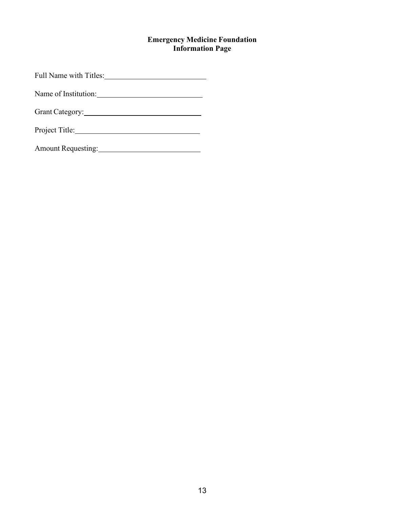# **Emergency Medicine Foundation Information Page**

Full Name with Titles:

Name of Institution:

Grant Category: 2007

Project Title:

Amount Requesting: